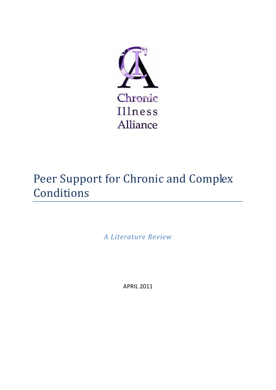

# Peer Support for Chronic and Complex Conditions

*A Literature Review* 

APRIL 2011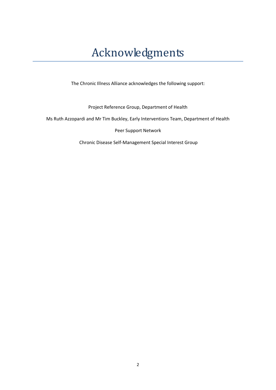# Acknowledgments

The Chronic Illness Alliance acknowledges the following support:

Project Reference Group, Department of Health

Ms Ruth Azzopardi and Mr Tim Buckley, Early Interventions Team, Department of Health

Peer Support Network

Chronic Disease Self‐Management Special Interest Group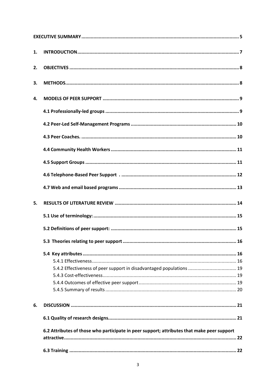| 1. |                                                                                            |
|----|--------------------------------------------------------------------------------------------|
| 2. |                                                                                            |
| 3. |                                                                                            |
| 4. |                                                                                            |
|    |                                                                                            |
|    |                                                                                            |
|    |                                                                                            |
|    |                                                                                            |
|    |                                                                                            |
|    |                                                                                            |
|    |                                                                                            |
| 5. |                                                                                            |
|    |                                                                                            |
|    |                                                                                            |
|    |                                                                                            |
|    |                                                                                            |
|    |                                                                                            |
|    | 5.4.2 Effectiveness of peer support in disadvantaged populations  19                       |
|    |                                                                                            |
|    |                                                                                            |
|    |                                                                                            |
| 6. |                                                                                            |
|    |                                                                                            |
|    | 6.2 Attributes of those who participate in peer support; attributes that make peer support |
|    |                                                                                            |
|    |                                                                                            |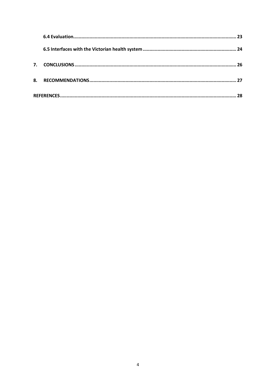| 7. |  |  |  |
|----|--|--|--|
| 8. |  |  |  |
|    |  |  |  |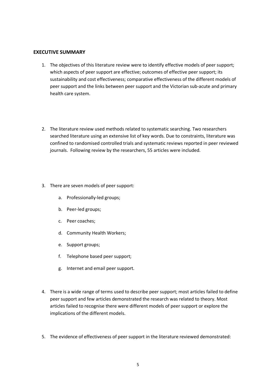#### **EXECUTIVE SUMMARY**

- 1. The objectives of this literature review were to identify effective models of peer support; which aspects of peer support are effective; outcomes of effective peer support; its sustainability and cost effectiveness; comparative effectiveness of the different models of peer support and the links between peer support and the Victorian sub‐acute and primary health care system.
- 2. The literature review used methods related to systematic searching. Two researchers searched literature using an extensive list of key words. Due to constraints, literature was confined to randomised controlled trials and systematic reviews reported in peer reviewed journals. Following review by the researchers, 55 articles were included.
- 3. There are seven models of peer support:
	- a. Professionally‐led groups;
	- b. Peer‐led groups;
	- c. Peer coaches;
	- d. Community Health Workers;
	- e. Support groups;
	- f. Telephone based peer support;
	- g. Internet and email peer support.
- 4. There is a wide range of terms used to describe peer support; most articles failed to define peer support and few articles demonstrated the research was related to theory. Most articles failed to recognise there were different models of peer support or explore the implications of the different models.
- 5. The evidence of effectiveness of peer support in the literature reviewed demonstrated: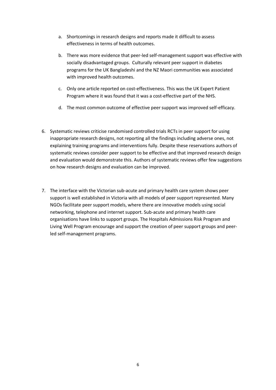- a. Shortcomings in research designs and reports made it difficult to assess effectiveness in terms of health outcomes.
- b. There was more evidence that peer‐led self‐management support was effective with socially disadvantaged groups. Culturally relevant peer support in diabetes programs for the UK Bangladeshi and the NZ Maori communities was associated with improved health outcomes.
- c. Only one article reported on cost-effectiveness. This was the UK Expert Patient Program where it was found that it was a cost‐effective part of the NHS.
- d. The most common outcome of effective peer support was improved self‐efficacy.
- 6. Systematic reviews criticise randomised controlled trials RCTs in peer support for using inappropriate research designs, not reporting all the findings including adverse ones, not explaining training programs and interventions fully. Despite these reservations authors of systematic reviews consider peer support to be effective and that improved research design and evaluation would demonstrate this. Authors of systematic reviews offer few suggestions on how research designs and evaluation can be improved.
- 7. The interface with the Victorian sub-acute and primary health care system shows peer support is well established in Victoria with all models of peer support represented. Many NGOs facilitate peer support models, where there are innovative models using social networking, telephone and internet support. Sub‐acute and primary health care organisations have links to support groups. The Hospitals Admissions Risk Program and Living Well Program encourage and support the creation of peer support groups and peer‐ led self‐management programs.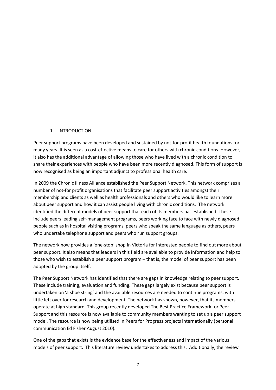# 1. INTRODUCTION

Peer support programs have been developed and sustained by not‐for‐profit health foundations for many years. It is seen as a cost-effective means to care for others with chronic conditions. However, it also has the additional advantage of allowing those who have lived with a chronic condition to share their experiences with people who have been more recently diagnosed. This form of support is now recognised as being an important adjunct to professional health care.

In 2009 the Chronic Illness Alliance established the Peer Support Network. This network comprises a number of not‐for profit organisations that facilitate peer support activities amongst their membership and clients as well as health professionals and others who would like to learn more about peer support and how it can assist people living with chronic conditions. The network identified the different models of peer support that each of its members has established. These include peers leading self‐management programs, peers working face to face with newly diagnosed people such as in hospital visiting programs, peers who speak the same language as others, peers who undertake telephone support and peers who run support groups.

The network now provides a 'one‐stop' shop in Victoria for interested people to find out more about peer support. It also means that leaders in this field are available to provide information and help to those who wish to establish a peer support program – that is, the model of peer support has been adopted by the group itself.

The Peer Support Network has identified that there are gaps in knowledge relating to peer support. These include training, evaluation and funding. These gaps largely exist because peer support is undertaken on 'a shoe string' and the available resources are needed to continue programs, with little left over for research and development. The network has shown, however, that its members operate at high standard. This group recently developed The Best Practice Framework for Peer Support and this resource is now available to community members wanting to set up a peer support model. The resource is now being utilised in Peers for Progress projects internationally (personal communication Ed Fisher August 2010).

One of the gaps that exists is the evidence base for the effectiveness and impact of the various models of peer support. This literature review undertakes to address this. Additionally, the review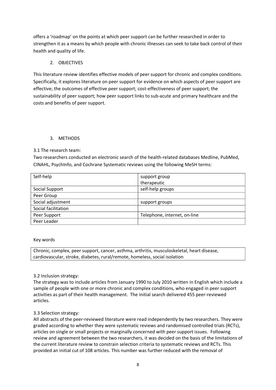offers a 'roadmap' on the points at which peer support can be further researched in order to strengthen it as a means by which people with chronic illnesses can seek to take back control of their health and quality of life.

# 2. OBJECTIVES

This literature review identifies effective models of peer support for chronic and complex conditions. Specifically, it explores literature on peer support for evidence on which aspects of peer support are effective; the outcomes of effective peer support; cost-effectiveness of peer support; the sustainability of peer support; how peer support links to sub-acute and primary healthcare and the costs and benefits of peer support.

# 3. METHODS

# 3.1 The research team:

Two researchers conducted an electronic search of the health‐related databases Medline, PubMed, CINAHL, PsychInfo, and Cochrane Systematic reviews using the following MeSH terms:

| support group                |
|------------------------------|
| therapeutic                  |
| self-help groups             |
|                              |
| support groups               |
|                              |
| Telephone, internet, on-line |
|                              |
|                              |

# Key words

Chronic, complex, peer support, cancer, asthma, arthritis, musculoskeletal, heart disease, cardiovascular, stroke, diabetes, rural/remote, homeless, social isolation

# 3.2 Inclusion strategy:

The strategy was to include articles from January 1990 to July 2010 written in English which include a sample of people with one or more chronic and complex conditions, who engaged in peer support activities as part of their health management. The initial search delivered 455 peer‐reviewed articles.

# 3.3 Selection strategy:

All abstracts of the peer-reviewed literature were read independently by two researchers. They were graded according to whether they were systematic reviews and randomised controlled trials (RCTs), articles on single or small projects or marginally concerned with peer support issues. Following review and agreement between the two researchers, it was decided on the basis of the limitations of the current literature review to constrain selection criteria to systematic reviews and RCTs. This provided an initial cut of 108 articles. This number was further reduced with the removal of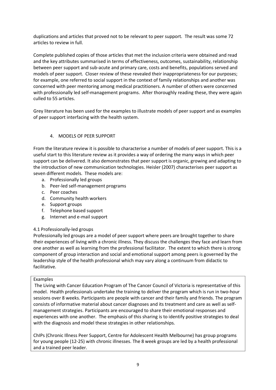duplications and articles that proved not to be relevant to peer support. The result was some 72 articles to review in full.

Complete published copies of those articles that met the inclusion criteria were obtained and read and the key attributes summarised in terms of effectiveness, outcomes, sustainability, relationship between peer support and sub‐acute and primary care, costs and benefits, populations served and models of peer support. Closer review of these revealed their inappropriateness for our purposes; for example, one referred to social support in the context of family relationships and another was concerned with peer mentoring among medical practitioners. A number of others were concerned with professionally led self-management programs. After thoroughly reading these, they were again culled to 55 articles.

Grey literature has been used for the examples to illustrate models of peer support and as examples of peer support interfacing with the health system.

# 4. MODELS OF PEER SUPPORT

From the literature review it is possible to characterise a number of models of peer support. This is a useful start to this literature review as it provides a way of ordering the many ways in which peer support can be delivered. It also demonstrates that peer support is organic, growing and adapting to the introduction of new communication technologies. Heisler (2007) characterises peer support as seven different models. These models are:

- a. Professionally led groups
- b. Peer‐led self‐management programs
- c. Peer coaches
- d. Community health workers
- e. Support groups
- f. Telephone based support
- g. Internet and e‐mail support

# 4.1 Professionally‐led groups

Professionally led groups are a model of peer support where peers are brought together to share their experiences of living with a chronic illness. They discuss the challenges they face and learn from one another as well as learning from the professional facilitator. The extent to which there is strong component of group interaction and social and emotional support among peers is governed by the leadership style of the health professional which may vary along a continuum from didactic to facilitative.

# Examples

The Living with Cancer Education Program of The Cancer Council of Victoria is representative of this model. Health professionals undertake the training to deliver the program which is run in two-hour sessions over 8 weeks. Participants are people with cancer and their family and friends. The program consists of informative material about cancer diagnoses and its treatment and care as well as self‐ management strategies. Participants are encouraged to share their emotional responses and experiences with one another. The emphasis of this sharing is to identify positive strategies to deal with the diagnosis and model these strategies in other relationships.

ChIPs (Chronic Illness Peer Support, Centre for Adolescent Health Melbourne) has group programs for young people (12‐25) with chronic illnesses. The 8 week groups are led by a health professional and a trained peer leader.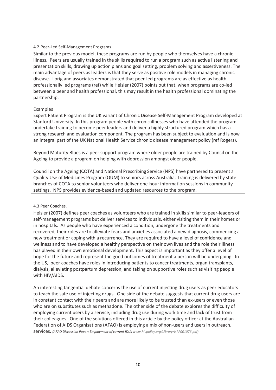#### 4.2 Peer‐Led Self‐Management Programs

Similar to the previous model, these programs are run by people who themselves have a chronic illness. Peers are usually trained in the skills required to run a program such as active listening and presentation skills, drawing up action plans and goal setting, problem solving and assertiveness. The main advantage of peers as leaders is that they serve as positive role models in managing chronic disease. Lorig and associates demonstrated that peer‐led programs are as effective as health professionally led programs (ref) while Heisler (2007) points out that, when programs are co‐led between a peer and health professional, this may result in the health professional dominating the partnership.

#### Examples

Expert Patient Program is the UK variant of Chronic Disease Self‐Management Program developed at Stanford University. In this program people with chronic illnesses who have attended the program undertake training to become peer leaders and deliver a highly structured program which has a strong research and evaluation component. The program has been subject to evaluation and is now an integral part of the UK National Health Service chronic disease management policy (ref Rogers).

Beyond Maturity Blues is a peer support program where older people are trained by Council on the Ageing to provide a program on helping with depression amongst older people.

Council on the Ageing (COTA) and National Prescribing Service (NPS) have partnered to present a Quality Use of Medicines Program (QUM) to seniors across Australia. Training is delivered by state branches of COTA to senior volunteers who deliver one‐hour information sessions in community settings. NPS provides evidence-based and updated resources to the program.

#### 4.3 Peer Coaches.

Heisler (2007) defines peer coaches as volunteers who are trained in skills similar to peer‐leaders of self-management programs but deliver services to individuals, either visiting them in their homes or in hospitals. As people who have experienced a condition, undergone the treatments and recovered, their roles are to alleviate fears and anxieties associated a new diagnosis, commencing a new treatment or coping with a recurrence. They are required to have a level of confidence and wellness and to have developed a healthy perspective on their own lives and the role their illness has played in their own emotional development. This aspect is important as they offer a level of hope for the future and represent the good outcomes of treatment a person will be undergoing. In the US, peer coaches have roles in introducing patients to cancer treatments, organ transplants, dialysis, alleviating postpartum depression, and taking on supportive roles such as visiting people with HIV/AIDS.

An interesting tangential debate concerns the use of current injecting drug users as peer educators to teach the safe use of injecting drugs. One side of the debate suggests that current drug users are in constant contact with their peers and are more likely to be trusted than ex-users or even those who are on substitutes such as methadone. The other side of the debate explores the difficulty of employing current users by a service, including drug use during work time and lack of trust from their colleagues. One of the solutions offered in this article by the policy officer at the Australian Federation of AIDS Organisations (AFAO) is employing a mix of non-users and users in outreach. services. *(AFAO Discussion Paper: Employment of current IDUs www.hivpolicy.org/Library/HPP001076.pdf)*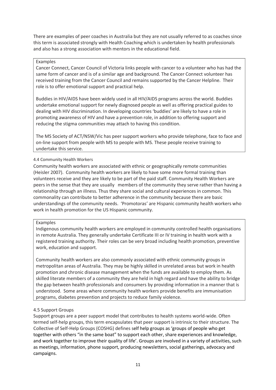There are examples of peer coaches in Australia but they are not usually referred to as coaches since this term is associated strongly with Health Coaching which is undertaken by health professionals and also has a strong association with mentors in the educational field.

# Examples

Cancer Connect, Cancer Council of Victoria links people with cancer to a volunteer who has had the same form of cancer and is of a similar age and background. The Cancer Connect volunteer has received training from the Cancer Council and remainssupported by the Cancer Helpline. Their role is to offer emotional support and practical help.

Buddies in HIV/AIDS have been widely used in all HIV/AIDS programs across the world. Buddies undertake emotional support for newly diagnosed people as well as offering practical guides to dealing with HIV discrimination. In developing countries 'buddies' are likely to have a role in promoting awareness of HIV and have a prevention role, in addition to offering support and reducing the stigma communities may attach to having this condition.

The MS Society of ACT/NSW/Vic has peer support workers who provide telephone, face to face and on‐line support from people with MS to people with MS. These people receive training to undertake this service.

# 4.4 Community Health Workers

Community health workers are associated with ethnic or geographically remote communities (Heisler 2007). Community health workers are likely to have some more formal training than volunteers receive and they are likely to be part of the paid staff. Community Health Workers are peers in the sense that they are usually members of the community they serve rather than having a relationship through an illness. Thus they share social and cultural experiences in common. This commonality can contribute to better adherence in the community because there are basic understandings of the community needs. 'Promotoras' are Hispanic community health workers who work in health promotion for the US Hispanic community.

# Examples

Indigenous community health workers are employed in community controlled health organisations in remote Australia. They generally undertake Certificate III or IV training in health work with a registered training authority. Their roles can be very broad including health promotion, preventive work, education and support.

Community health workers are also commonly associated with ethnic community groups in metropolitan areas of Australia. They may be highly skilled in unrelated areas but work in health promotion and chronic disease management when the funds are available to employ them. As skilled literate members of a community they are held in high regard and have the ability to bridge the gap between health professionals and consumers by providing information in a manner that is understood. Some areas where community health workers provide benefits are immunisation programs, diabetes prevention and projects to reduce family violence.

# 4.5 Support Groups

Support groups are a peer support model that contributes to health systems world‐wide. Often termed self‐help groups, this term encapsulates that peer support is intrinsic to their structure. The Collective of Self‐Help Groups (COSHG) defines self help groups as 'groups of people who get together with others "in the same boat" to support each other, share experiences and knowledge, and work together to improve their quality of life'. Groups are involved in a variety of activities, such as meetings, information, phone support, producing newsletters, social gatherings, advocacy and campaigns.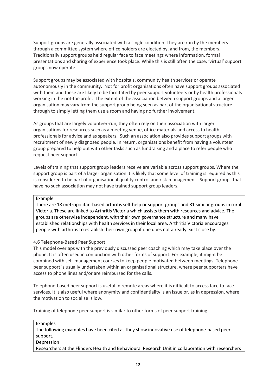Support groups are generally associated with a single condition. They are run by the members through a committee system where office holders are elected by, and from, the members. Traditionally support groups held regular face to face meetings where information, formal presentations and sharing of experience took place. While this is still often the case, 'virtual' support groups now operate.

Support groups may be associated with hospitals, community health services or operate autonomously in the community. Not for profit organisations often have support groups associated with them and these are likely to be facilitated by peer support volunteers or by health professionals working in the not-for-profit. The extent of the association between support groups and a larger organisation may vary from the support group being seen as part of the organisational structure through to simply letting them use a room and having no further involvement.

As groups that are largely volunteer‐run, they often rely on their association with larger organisations for resources such as a meeting venue, office materials and access to health professionals for advice and as speakers. Such an association also provides support groups with recruitment of newly diagnosed people. In return, organisations benefit from having a volunteer group prepared to help out with other tasks such as fundraising and a place to refer people who request peer support.

Levels of training that support group leaders receive are variable across support groups. Where the support group is part of a larger organisation it is likely that some level of training is required as this is considered to be part of organisational quality control and risk-management. Support groups that have no such association may not have trained support group leaders.

# Example

There are 18 metropolitan‐based arthritis self‐help or support groups and 31 similar groups in rural Victoria. These are linked to Arthritis Victoria which assists them with resources and advice. The groups are otherwise independent, with their own governance structure and many have established relationships with health services in their local area. Arthritis Victoria encourages people with arthritis to establish their own group if one does not already exist close by.

# 4.6 Telephone‐Based Peer Support

This model overlaps with the previously discussed peer coaching which may take place over the phone. It is often used in conjunction with other forms of support. For example, it might be combined with self‐management courses to keep people motivated between meetings. Telephone peer support is usually undertaken within an organisational structure, where peer supporters have access to phone lines and/or are reimbursed for the calls.

Telephone‐based peer support is useful in remote areas where it is difficult to access face to face services. It is also useful where anonymity and confidentiality is an issue or, as in depression, where the motivation to socialise is low.

Training of telephone peer support is similar to other forms of peer support training.

Examples

The following examples have been cited as they show innovative use of telephone‐based peer support.

# Depression

Researchers at the Flinders Health and Behavioural Research Unit in collaboration with researchers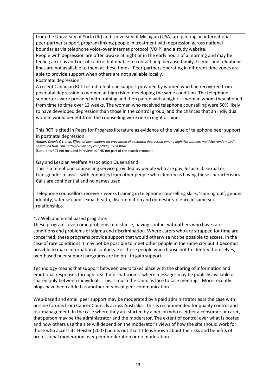from the University of York (UK) and University of Michigan (USA) are piloting an international peer‐partner support program linking people in treatment with depression across national boundaries via telephone voice‐over internet protocol (VOIP) and a study website. People with depression are often awake at night or in the early hours of a morning and may be feeling anxious and out of control but unable to contact help because family, friends and telephone lines are not available to them at these times. Peer-partners operating in different time zones are able to provide support when others are not available locally. Postnatal depression

A recent Canadian RCT tested telephone support provided by women who had recovered from postnatal depression to women at high risk of developing the same condition. The telephone supporters were provided with training and then paired with a high risk woman whom they phoned from time to time over 12 weeks. The women who received telephone counselling were 50% likely to have developed depression than those in the control group, and the chances that an individual woman would benefit from the counselling were one in eight or nine.

This RCT is cited in Peers for Progress literature as evidence of the value of telephone peer support in postnatal depression.

*Author: Dennis C‐L et al. Effect of peer support on prevention of postnatal depression among high risk women: multisite randomised controlled trial. URL: http://www.bmj.com/2009;338:a3064*

(Note: this RCT not included in review as PND not part of the search protocol)

#### Gay and Lesbian Welfare Association Queensland

This is a telephone counselling service provided by people who are gay, lesbian, bisexual or transgender to assist with enquiries from other people who identify as having these characteristics. Calls are confidential and no names used.

Telephone counsellors receive 7 weeks training in telephone counselling skills, 'coming out', gender identity, safer sex and sexual health, discrimination and domestic violence in same sex relationships.

# 4.7 Web and email based programs

These programs overcome problems of distance, having contact with others who have rare conditions and problems of stigma and discrimination. Where carers who are strapped for time are concerned, these programs provide support that would otherwise not be possible to access. In the case of rare conditions it may not be possible to meet other people in the same city but it becomes possible to make international contacts. For those people who choose not to identify themselves, web-based peer support programs are helpful to gain support.

Technology means that support between peers takes place with the sharing of information and emotional responses through 'real time chat rooms' where messages may be publicly available or shared only between individuals. This is much the same as face to face meetings. More recently blogs have been added as another means of peer communication.

Web-based and email peer support may be moderated by a paid administrator as is the case with on‐line forums from Cancer Councils across Australia. This is recommended for quality control and risk management. In the case where they are started by a person who is either a consumer or carer, that person may be the administrator and the moderator. The extent of control over what is posted and how others use the site will depend on the moderator's views of how the site should work for those who access it. Heisler (2007) points out that little is known about the risks and benefits of professional moderation over peer moderation or no moderation.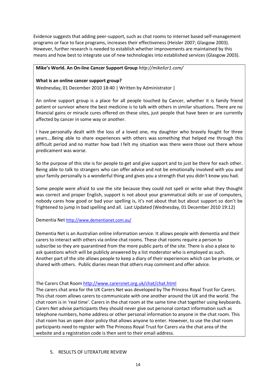Evidence suggests that adding peer‐support, such as chat rooms to internet based self‐management programs or face to face programs, increases their effectiveness (Heisler 2007; Glasgow 2003). However, further research is needed to establish whether improvements are maintained by this means and how best to integrate use of new technologies into established services (Glasgow 2003).

# **Mike's World. An On‐line Cancer Support Group** *http://mikelizr1.com/*

# **What is an online cancer support group?**

Wednesday, 01 December 2010 18:40 | Written by Administrator |

An online support group is a place for all people touched by Cancer, whether it is family friend patient or survivor where the best medicine is to talk with others in similar situations. There are no financial gains or miracle cures offered on these sites, just people that have been or are currently affected by cancer in some way or another.

I have personally dealt with the loss of a loved one, my daughter who bravely fought for three years….Being able to share experiences with others was something that helped me through this difficult period and no matter how bad I felt my situation was there were those out there whose predicament was worse.

So the purpose of this site is for people to get and give support and to just be there for each other. Being able to talk to strangers who can offer advice and not be emotionally involved with you and your family personally is a wonderful thing and gives you a strength that you didn't know you had.

Some people were afraid to use the site because they could not spell or write what they thought was correct and proper English, support is not about your grammatical skills or use of computers, nobody cares how good or bad your spelling is, it's not about that but about support so don't be frightened to jump in bad spelling and all. Last Updated (Wednesday, 01 December 2010 19:12)

Dementia Net http://www.dementianet.com.au/

Dementia Net is an Australian online information service. It allows people with dementia and their carers to interact with others via online chat rooms. These chat rooms require a person to subscribe so they are quarantined from the more public parts of the site. There is also a place to ask questions which will be publicly answered by a list moderator who is employed as such. Another part of the site allows people to keep a diary of their experiences which can be private, or shared with others. Public diaries mean that others may comment and offer advice.

# The Carers Chat Room http://www.carersnet.org.uk/chat/chat.html

The carers chat area for the UK Carers Net was developed by The Princess Royal Trust for Carers. This chat room allows carers to communicate with one another around the UK and the world. The chat room is in 'real time'. Carers in the chat room at the same time chat together using keyboards. Carers Net advise participants they should never give out personal contact information such as telephone numbers, home address or other personal information to anyone in the chat room. This chat room has an open door policy that allows anyone to enter. However, to use the chat room participants need to register with The Princess Royal Trust for Carers via the chat area of the website and a registration code is then sent to their email address.

5. RESULTS OF LITERATURE REVIEW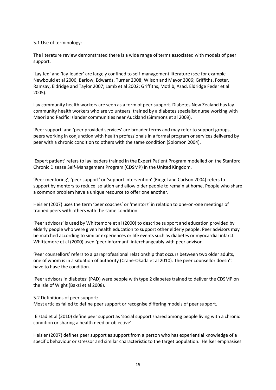# 5.1 Use of terminology:

The literature review demonstrated there is a wide range of terms associated with models of peer support.

'Lay‐led' and 'lay‐leader' are largely confined to self‐management literature (see for example Newbould et al 2006; Barlow, Edwards, Turner 2008; Wilson and Mayor 2006; Griffiths, Foster, Ramsay, Eldridge and Taylor 2007; Lamb et al 2002; Griffiths, Motlib, Azad, Eldridge Feder et al 2005).

Lay community health workers are seen as a form of peer support. Diabetes New Zealand has lay community health workers who are volunteers, trained by a diabetes specialist nurse working with Maori and Pacific Islander communities near Auckland (Simmons et al 2009).

'Peer support' and 'peer provided services' are broader terms and may refer to support groups, peers working in conjunction with health professionals in a formal program or services delivered by peer with a chronic condition to others with the same condition (Solomon 2004).

'Expert patient' refers to lay leaders trained in the Expert Patient Program modelled on the Stanford Chronic Disease Self‐Management Program (CDSMP) in the United Kingdom.

'Peer mentoring', 'peer support' or 'support intervention' (Riegel and Carlson 2004) refers to support by mentors to reduce isolation and allow older people to remain at home. People who share a common problem have a unique resource to offer one another.

Heisler (2007) uses the term 'peer coaches' or 'mentors' in relation to one-on-one meetings of trained peers with others with the same condition.

'Peer advisors' is used by Whittemore et al (2000) to describe support and education provided by elderly people who were given health education to support other elderly people. Peer advisors may be matched according to similar experiences or life events such as diabetes or myocardial infarct. Whittemore et al (2000) used 'peer informant' interchangeably with peer advisor.

'Peer counsellors' refers to a paraprofessional relationship that occurs between two older adults, one of whom is in a situation of authority (Crane‐Okada et al 2010). The peer counsellor doesn't have to have the condition.

'Peer advisors in diabetes' (PAD) were people with type 2 diabetes trained to deliver the CDSMP on the Isle of Wight (Baksi et al 2008).

# 5.2 Definitions of peer support:

Most articles failed to define peer support or recognise differing models of peer support.

Elstad et al (2010) define peer support as 'social support shared among people living with a chronic condition or sharing a health need or objective'.

Heisler (2007) defines peer support as support from a person who has experiential knowledge of a specific behaviour or stressor and similar characteristic to the target population. Heilser emphasises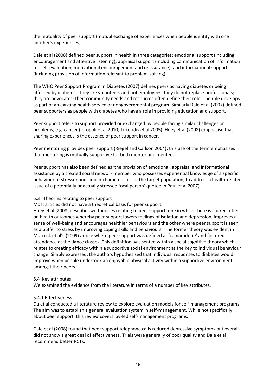the mutuality of peer support (mutual exchange of experiences when people identify with one another's experiences).

Dale et al (2008) defined peer support in health in three categories: emotional support (including encouragement and attentive listening); appraisal support (including communication of information for self-evaluation, motivational encouragement and reassurance); and informational support (including provision of information relevant to problem‐solving).

The WHO Peer Support Program in Diabetes (2007) defines peers as having diabetes or being affected by diabetes. They are volunteers and not employees; they do not replace professionals; they are advocates; their community needs and resources often define their role. The role develops as part of an existing health service or nongovernmental program. Similarly Dale et al (2007) defined peer supporters as people with diabetes who have a role in providing education and support.

Peer support refers to support provided or exchanged by people facing similar challenges or problems, e.g. cancer (Ieropoli et al 2010; Tilkeridis et al 2005). Hoey et al (2008) emphasise that sharing experiences is the essence of peer support in cancer.

Peer mentoring provides peer support (Riegel and Carlson 2004); this use of the term emphasises that mentoring is mutually supportive for both mentor and mentee.

Peer support has also been defined as 'the provision of emotional, appraisal and informational assistance by a created social network member who possesses experiential knowledge of a specific behaviour or stressor and similar characteristics of the target population, to address a health‐related issue of a potentially or actually stressed focal person' quoted in Paul et al 2007).

# 5.3 Theories relating to peer support

Most articles did not have a theoretical basis for peer support.

Hoey et al (2008) describe two theories relating to peer support: one in which there is a direct effect on health outcomes whereby peer support lowers feelings of isolation and depression, improves a sense of well‐being and encourages healthier behaviours and the other where peer support is seen as a buffer to stress by improving coping skills and behaviours. The former theory was evident in Murrock et al's (2009) article where peer support was defined as 'camaraderie' and fostered attendance at the dance classes. This definition was seated within a social cognitive theory which relates to creating efficacy within a supportive social environment as the key to individual behaviour change. Simply expressed, the authors hypothesised that individual responses to diabetes would improve when people undertook an enjoyable physical activity within a supportive environment amongst their peers.

# 5.4 Key attributes

We examined the evidence from the literature in terms of a number of key attributes.

# 5.4.1 Effectiveness

Du et al conducted a literature review to explore evaluation models for self-management programs. The aim was to establish a general evaluation system in self-management. While not specifically about peer support, this review covers lay-led self-management programs.

Dale et al (2008) found that peer support telephone calls reduced depressive symptoms but overall did not show a great deal of effectiveness. Trials were generally of poor quality and Dale et al recommend better RCTs.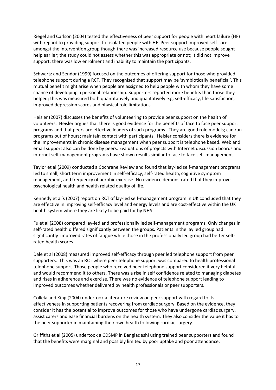Riegel and Carlson (2004) tested the effectiveness of peer support for people with heart failure (HF) with regard to providing support for isolated people with HF. Peer support improved self‐care amongst the intervention group though there was increased resource use because people sought help earlier; the study could not assess whether this was appropriate or not; it did not improve support; there was low enrolment and inability to maintain the participants.

Schwartz and Sendor (1999) focused on the outcomes of offering support for those who provided telephone support during a RCT. They recognised that support may be 'symbiotically beneficial'. This mutual benefit might arise when people are assigned to help people with whom they have some chance of developing a personal relationship. Supporters reported more benefits than those they helped; this was measured both quantitatively and qualitatively e.g. self-efficacy, life satisfaction, improved depression scores and physical role limitations.

Heisler (2007) discusses the benefits of volunteering to provide peer support on the health of volunteers. Heisler argues that there is good evidence for the benefits of face to face peer support programs and that peers are effective leaders of such programs. They are good role models; can run programs out of hours; maintain contact with participants. Heisler considers there is evidence for the improvements in chronic disease management when peer support is telephone based. Web and email support also can be done by peers. Evaluations of projects with Internet discussion boards and internet self-management programs have shown results similar to face to face self-management.

Taylor et al (2009) conducted a Cochrane Review and found that lay‐led self‐management programs led to small, short term improvement in self‐efficacy, self‐rated health, cognitive symptom management, and frequency of aerobic exercise. No evidence demonstrated that they improve psychological health and health related quality of life.

Kennedy et al's (2007) report on RCT of lay-led self-management program in UK concluded that they are effective in improving self-efficacy level and energy levels and are cost-effective within the UK health system where they are likely to be paid for by NHS.

Fu et al (2008) compared lay‐led and professionally led self‐management programs. Only changes in self-rated health differed significantly between the groups. Patients in the lay led group had significantly improved rates of fatigue while those in the professionally led group had better self‐ rated health scores.

Dale et al (2008) measured improved self-efficacy through peer led telephone support from peer supporters. This was an RCT where peer telephone support was compared to health professional telephone support. Those people who received peer telephone support considered it very helpful and would recommend it to others. There was a rise in self confidence related to managing diabetes and rises in adherence and exercise. There was no evidence of telephone support leading to improved outcomes whether delivered by health professionals or peer supporters.

Collela and King (2004) undertook a literature review on peer support with regard to its effectiveness in supporting patients recovering from cardiac surgery. Based on the evidence, they consider it has the potential to improve outcomes for those who have undergone cardiac surgery, assist carers and ease financial burdens on the health system. They also consider the value it has to the peer supporter in maintaining their own health following cardiac surgery.

Griffiths et al (2005) undertook a CDSMP in Bangladeshi using trained peer supporters and found that the benefits were marginal and possibly limited by poor uptake and poor attendance.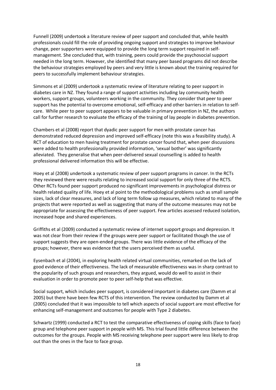Funnell (2009) undertook a literature review of peer support and concluded that, while health professionals could fill the role of providing ongoing support and strategies to improve behaviour change, peer supporters were equipped to provide the long term support required in self‐ management. She concluded that, with training, peers could provide the psychosocial support needed in the long term. However, she identified that many peer based programs did not describe the behaviour strategies employed by peers and very little is known about the training required for peers to successfully implement behaviour strategies.

Simmons et al (2009) undertook a systematic review of literature relating to peer support in diabetes care in NZ. They found a range of support activities including lay community health workers, support groups, volunteers working in the community. They consider that peer to peer support has the potential to overcome emotional, self‐efficacy and other barriers in relation to self‐ care. While peer to peer support appears to be valuable in primary prevention in NZ, the authors call for further research to evaluate the efficacy of the training of lay people in diabetes prevention.

Chambers et al (2008) report that dyadic peer support for men with prostate cancer has demonstrated reduced depression and improved self-efficacy (note this was a feasibility study). A RCT of education to men having treatment for prostate cancer found that, when peer discussions were added to health professionally provided information, 'sexual bother' was significantly alleviated. They generalise that when peer‐delivered sexual counselling is added to health professional delivered information this will be effective.

Hoey et al (2008) undertook a systematic review of peer support programs in cancer. In the RCTs they reviewed there were results relating to increased social support for only three of the RCTS. Other RCTs found peer support produced no significant improvements in psychological distress or health related quality of life. Hoey et al point to the methodological problems such as small sample sizes, lack of clear measures, and lack of long term follow up measures, which related to many of the projects that were reported as well as suggesting that many of the outcome measures may not be appropriate for assessing the effectiveness of peer support. Few articles assessed reduced isolation, increased hope and shared experiences.

Griffiths et al (2009) conducted a systematic review of internet support groups and depression. It was not clear from their review if the groups were peer support or facilitated though the use of support suggests they are open‐ended groups. There was little evidence of the efficacy of the groups; however, there was evidence that the users perceived them as useful.

Eysenbach et al (2004), in exploring health related virtual communities, remarked on the lack of good evidence of their effectiveness. The lack of measurable effectiveness was in sharp contrast to the popularity of such groups and researchers, they argued, would do well to assist in their evaluation in order to promote peer to peer self‐help that was effective.

Social support, which includes peer support, is considered important in diabetes care (Damm et al 2005) but there have been few RCTS of this intervention. The review conducted by Damm et al (2005) concluded that it was impossible to tell which aspects of social support are most effective for enhancing self-management and outcomes for people with Type 2 diabetes.

Schwartz (1999) conducted a RCT to test the comparative effectiveness of coping skills (face to face) group and telephone peer support in people with MS. This trial found little difference between the outcomes for the groups. People with MS receiving telephone peer support were less likely to drop out than the ones in the face to face group.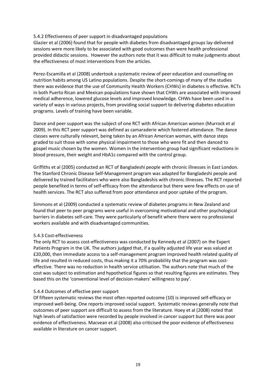# 5.4.2 Effectiveness of peer support in disadvantaged populations

Glazier et al (2006) found that for people with diabetes from disadvantaged groups lay‐delivered sessions were more likely to be associated with good outcomes than were health professional provided didactic sessions. However the authors note that it was difficult to make judgments about the effectiveness of most interventions from the articles.

Perez‐Escamilla et al (2008) undertook a systematic review of peer education and counselling on nutrition habits among US Latino populations. Despite the short-comings of many of the studies there was evidence that the use of Community Health Workers (CHWs) in diabetes is effective. RCTs in both Puerto Rican and Mexican populations have shown that CHWs are associated with improved medical adherence, lowered glucose levels and improved knowledge. CHWs have been used in a variety of ways in various projects, from providing social support to delivering diabetes education programs. Levels of training have been variable.

Dance and peer support was the subject of one RCT with African American women (Murrock et al 2009). In this RCT peer support was defined as camaraderie which fostered attendance. The dance classes were culturally relevant, being taken by an African American woman, with dance steps graded to suit those with some physical impairment to those who were fit and then danced to gospel music chosen by the women. Women in the intervention group had significant reductions in blood pressure, their weight and HbA1c compared with the control group.

Griffiths et al (2005) conducted an RCT of Bangladeshi people with chronic illnesses in East London. The Stanford Chronic Disease Self‐Management program was adapted for Bangladeshi people and delivered by trained facilitators who were also Bangladeshis with chronic illnesses. The RCT reported people benefited in terms of self‐efficacy from the attendance but there were few effects on use of health services. The RCT also suffered from poor attendance and poor uptake of the program.

Simmons et al (2009) conducted a systematic review of diabetes programs in New Zealand and found that peer to peer programs were useful in overcoming motivational and other psychological barriers in diabetes self‐care. They were particularly of benefit where there were no professional workers available and with disadvantaged communities.

# 5.4.3 Cost‐effectiveness

The only RCT to assess cost-effectiveness was conducted by Kennedy et al (2007) on the Expert Patients Program in the UK. The authors judged that, if a quality adjusted life year was valued at £20,000, then immediate access to a self‐management program improved health related quality of life and resulted in reduced costs, thus making it a 70% probability that the program was costeffective. There was no reduction in health service utilisation. The authors note that much of the cost was subject to estimation and hypothetical figures so that resulting figures are estimates. They based this on the 'conventional level of decision‐makers' willingness to pay'.

# 5.4.4 Outcomes of effective peer support

Of fifteen systematic reviews the most often reported outcome (10) is improved self‐efficacy or improved well‐being. One reports improved social support. Systematic reviews generally note that outcomes of peer support are difficult to assess from the literature. Hoey et al (2008) noted that high levels of satisfaction were recorded by people involved in cancer support but there was poor evidence of effectiveness. Macvean et al (2008) also criticised the poor evidence of effectiveness available in literature on cancer support.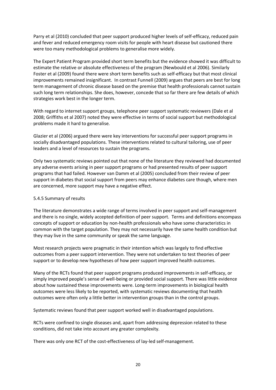Parry et al (2010) concluded that peer support produced higher levels of self-efficacy, reduced pain and fever and reduced emergency room visits for people with heart disease but cautioned there were too many methodological problems to generalise more widely.

The Expert Patient Program provided short term benefits but the evidence showed it was difficult to estimate the relative or absolute effectiveness of the program (Newbould et al 2006). Similarly Foster et al (2009) found there were short term benefits such as self‐efficacy but that most clinical improvements remained insignificant. In contrast Funnell (2009) argues that peers are best for long term management of chronic disease based on the premise that health professionals cannot sustain such long term relationships. She does, however, concede that so far there are few details of which strategies work best in the longer term.

With regard to internet support groups, telephone peer support systematic reviewers (Dale et al 2008; Griffiths et al 2007) noted they were effective in terms of social support but methodological problems made it hard to generalise.

Glazier et al (2006) argued there were key interventions for successful peer support programs in socially disadvantaged populations. These interventions related to cultural tailoring, use of peer leaders and a level of resources to sustain the programs.

Only two systematic reviews pointed out that none of the literature they reviewed had documented any adverse events arising in peer support programs or had presented results of peer support programs that had failed. However van Damm et al (2005) concluded from their review of peer support in diabetes that social support from peers may enhance diabetes care though, where men are concerned, more support may have a negative effect.

# 5.4.5 Summary of results

The literature demonstrates a wide range of terms involved in peer support and self-management and there is no single, widely accepted definition of peer support. Terms and definitions encompass concepts of support or education by non‐health professionals who have some characteristics in common with the target population. They may not necessarily have the same health condition but they may live in the same community or speak the same language.

Most research projects were pragmatic in their intention which was largely to find effective outcomes from a peer support intervention. They were not undertaken to test theories of peer support or to develop new hypotheses of how peer support improved health outcomes.

Many of the RCTs found that peer support programs produced improvements in self‐efficacy, or simply improved people's sense of well‐being or provided social support. There was little evidence about how sustained these improvements were. Long‐term improvements in biological health outcomes were less likely to be reported, with systematic reviews documenting that health outcomes were often only a little better in intervention groups than in the control groups.

Systematic reviews found that peer support worked well in disadvantaged populations.

RCTs were confined to single diseases and, apart from addressing depression related to these conditions, did not take into account any greater complexity.

There was only one RCT of the cost-effectiveness of lay-led self-management.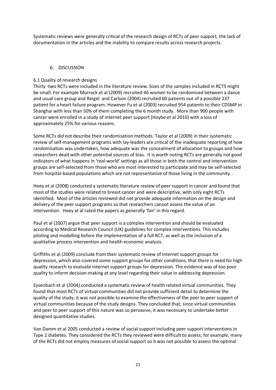Systematic reviews were generally critical of the research design of RCTs of peer support, the lack of documentation in the articles and the inability to compare results across research projects.

# 6. DISCUSSION

# 6.1 Quality of research designs

Thirty ‐two RCTs were included in the literature review. Sizes of the samples included in RCTS might be small. For example Murrock et al (2009) recruited 46 women to be randomised between a dance and usual care group and Reigel and Carlson (2004) recruited 60 patients out of a possible 237 patient for a heart failure program. However Fu et al (2003) recruited 954 patients to their CDSMP in Shanghai with less than 50% of them completing the 6 month study. More than 900 people with cancer were enrolled in a study of internet peer support (Hoybe et al 2010) with a loss of approximately 25% for various reasons.

Some RCTs did not describe their randomisation methods. Taylor et al (2009) in their systematic review of self-management programs with lay-leaders are critical of the inadequate reporting of how randomisation was undertaken, how adequate was the concealment of allocation to groups and how researchers dealt with other potential sources of bias. It is worth noting RCTs are generally not good indicators of what happens in 'real‐world' settings as all those in both the control and intervention groups are self‐selected from those who are most interested to participate and may be self‐selected from hospital-based populations which are not representative of those living in the community. .

Hoey et al (2008) conducted a systematic literature review of peer support in cancer and found that most of the studies were related to breast cancer and were descriptive, with only eight RCTs identified. Most of the articles reviewed did not provide adequate information on the design and delivery of the peer support programs so that researchers cannot assess the value of an intervention. Hoey at al rated the papers as generally 'fair' in this regard.

Paul et al (2007) argue that peer support is a complex intervention and should be evaluated according to Medical Research Council (UK) guidelines for complex interventions. This includes piloting and modelling before the implementation of a full RCT, as well as the inclusion of a qualitative process intervention and health economic analysis.

Griffiths et al (2009) conclude from their systematic review of internet support groups for depression, which also covered some support groups for other conditions, that there is need for high quality research to evaluate internet support groups for depression. The evidence was of too poor quality to inform decision‐making at any level regarding their value in addressing depression.

Eysenbach et al (2004) conducted a systematic review of health related virtual communities. They found that most RCTs of virtual communities did not provide sufficient detail to determine the quality of the study; it was not possible to examine the effectiveness of the peer to peer support of virtual communities because of the study designs. They concluded that, since virtual communities and peer to peer support of this nature was so pervasive, it was necessary to undertake better designed quantitative studies.

Van Damm et al 2005 conducted a review of social support including peer support interventions in Type 2 diabetes. They considered the RCTs they reviewed were difficult to assess; for example, many of the RCTs did not employ measures of social support so it was not possible to assess the optimal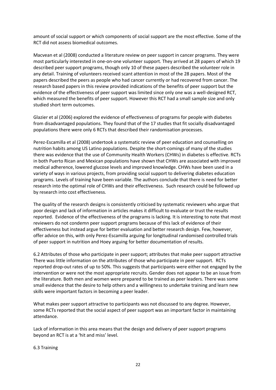amount of social support or which components of social support are the most effective. Some of the RCT did not assess biomedical outcomes.

Macvean et al (2008) conducted a literature review on peer support in cancer programs. They were most particularly interested in one-on-one volunteer support. They arrived at 28 papers of which 19 described peer support programs, though only 10 of these papers described the volunteer role in any detail. Training of volunteers received scant attention in most of the 28 papers. Most of the papers described the peers as people who had cancer currently or had recovered from cancer. The research based papers in this review provided indications of the benefits of peer support but the evidence of the effectiveness of peer support was limited since only one was a well‐designed RCT, which measured the benefits of peer support. However this RCT had a small sample size and only studied short term outcomes.

Glazier et al (2006) explored the evidence of effectiveness of programs for people with diabetes from disadvantaged populations. They found that of the 17 studies that fit socially disadvantaged populations there were only 6 RCTs that described their randomisation processes.

Perez‐Escamilla et al (2008) undertook a systematic review of peer education and counselling on nutrition habits among US Latino populations. Despite the short‐comings of many of the studies there was evidence that the use of Community Health Workers (CHWs) in diabetes is effective. RCTs in both Puerto Rican and Mexican populations have shown that CHWs are associated with improved medical adherence, lowered glucose levels and improved knowledge. CHWs have been used in a variety of ways in various projects, from providing social support to delivering diabetes education programs. Levels of training have been variable. The authors conclude that there is need for better research into the optimal role of CHWs and their effectiveness. Such research could be followed up by research into cost effectiveness.

The quality of the research designs is consistently criticised by systematic reviewers who argue that poor design and lack of information in articles makes it difficult to evaluate or trust the results reported. Evidence of the effectiveness of the programs is lacking. It is interesting to note that most reviewers do not condemn peer support programs because of this lack of evidence of their effectiveness but instead argue for better evaluation and better research design. Few, however, offer advice on this, with only Perez‐Escamilla arguing for longitudinal randomised controlled trials of peer support in nutrition and Hoey arguing for better documentation of results.

6.2 Attributes of those who participate in peer support; attributes that make peer support attractive There was little information on the attributes of those who participate in peer support. RCTs reported drop-out rates of up to 50%. This suggests that participants were either not engaged by the intervention or were not the most appropriate recruits. Gender does not appear to be an issue from the literature. Both men and women were prepared to be trained as peer leaders. There was some small evidence that the desire to help others and a willingness to undertake training and learn new skills were important factors in becoming a peer leader.

What makes peer support attractive to participants was not discussed to any degree. However, some RCTs reported that the social aspect of peer support was an important factor in maintaining attendance.

Lack of information in this area means that the design and delivery of peer support programs beyond an RCT is at a 'hit and miss' level.

6.3 Training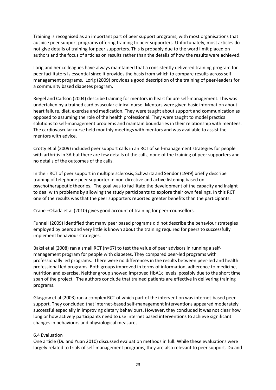Training is recognised as an important part of peer support programs, with most organisations that auspice peer support programs offering training to peer supporters. Unfortunately, most articles do not give details of training for peer supporters. This is probably due to the word limit placed on authors and the focus of articles on results rather than the details of how the results were achieved.

Lorig and her colleagues have always maintained that a consistently delivered training program for peer facilitators is essential since it provides the basis from which to compare results across self‐ management programs. Lorig (2009) provides a good description of the training of peer‐leaders for a community based diabetes program.

Riegel and Carlson (2004) describe training for mentors in heart failure self‐management. This was undertaken by a trained cardiovascular clinical nurse. Mentors were given basic information about heart failure, diet, exercise and medication. They were taught about support and communication as opposed to assuming the role of the health professional. They were taught to model practical solutions to self-management problems and maintain boundaries in their relationship with mentees. The cardiovascular nurse held monthly meetings with mentors and was available to assist the mentors with advice.

Crotty et al (2009) included peer support calls in an RCT of self‐management strategies for people with arthritis in SA but there are few details of the calls, none of the training of peer supporters and no details of the outcomes of the calls.

In their RCT of peer support in multiple sclerosis, Schwartz and Sendor (1999) briefly describe training of telephone peer supporter in non‐directive and active listening based on psychotherapeutic theories. The goal was to facilitate the development of the capacity and insight to deal with problems by allowing the study participants to explore their own feelings. In this RCT one of the results was that the peer supporters reported greater benefits than the participants.

Crane –Okada et al (2010) gives good account of training for peer‐counsellors.

Funnell (2009) identified that many peer based programs did not describe the behaviour strategies employed by peers and very little is known about the training required for peers to successfully implement behaviour strategies.

Baksi et al (2008) ran a small RCT (n=67) to test the value of peer advisors in running a selfmanagement program for people with diabetes. They compared peer‐led programs with professionally led programs. There were no differences in the results between peer‐led and health professional led programs. Both groups improved in terms of information, adherence to medicine, nutrition and exercise. Neither group showed improved HbA1c levels, possibly due to the short time span of the project. The authors conclude that trained patients are effective in delivering training programs.

Glasgow et al (2003) ran a complex RCT of which part of the intervention was internet‐based peer support. They concluded that internet-based self-management interventions appeared moderately successful especially in improving dietary behaviours. However, they concluded it was not clear how long or how actively participants need to use internet based interventions to achieve significant changes in behaviours and physiological measures.

# 6.4 Evaluation

One article (Du and Yuan 2010) discussed evaluation methods in full. While these evaluations were largely related to trials of self-management programs, they are also relevant to peer support. Du and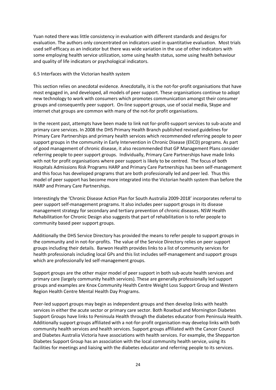Yuan noted there was little consistency in evaluation with different standards and designs for evaluation. The authors only concentrated on indicators used in quantitative evaluation. Most trials used self-efficacy as an indicator but there was wide variation in the use of other indicators with some employing health service utilization, some using health status, some using health behaviour and quality of life indicators or psychological indicators.

# 6.5 Interfaces with the Victorian health system

This section relies on anecdotal evidence. Anecdotally, it is the not-for-profit organisations that have most engaged in, and developed, all models of peer support. These organisations continue to adopt new technology to work with consumers which promotes communication amongst their consumer groups and consequently peer support. On‐line support groups, use of social media, Skype and internet chat groups are common with many of the not‐for profit organisations.

In the recent past, attempts have been made to link not for‐profit‐support services to sub‐acute and primary care services. In 2008 the DHS Primary Health Branch published revised guidelines for Primary Care Partnerships and primary health services which recommended referring people to peer support groups in the community in Early Intervention in Chronic Disease (EliCD) programs. As part of good management of chronic disease, it also recommended that GP Management Plans consider referring people to peer support groups. Individually, Primary Care Partnerships have made links with not for profit organisations where peer support is likely to be centred. The focus of both Hospitals Admissions Risk Programs HARP and Primary Care Partnerships has been self‐management and this focus has developed programs that are both professionally led and peer led. Thus this model of peer support has become more integrated into the Victorian health system than before the HARP and Primary Care Partnerships.

Interestingly the 'Chronic Disease Action Plan for South Australia 2009‐2018' incorporates referral to peer support self‐management programs. It also includes peer support groups in its disease management strategy for secondary and tertiary prevention of chronic diseases. NSW Health Rehabilitation for Chronic Design also suggests that part of rehabilitation is to refer people to community based peer support groups.

Additionally the DHS Service Directory has provided the means to refer people to support groups in the community and in not‐for‐profits. The value of the Service Directory relies on peer support groups including their details. Barwon Health provideslinks to a list of community services for health professionals including local GPs and this list includes self-management and support groups which are professionally led self-management groups.

Support groups are the other major model of peer support in both sub‐acute health services and primary care (largely community health services). These are generally professionally led support groups and examples are Knox Community Health Centre Weight Loss Support Group and Western Region Health Centre Mental Health Day Programs.

Peer-led support groups may begin as independent groups and then develop links with health services in either the acute sector or primary care sector. Both Rosebud and Mornington Diabetes Support Groups have links to Peninsula Health through the diabetes educator from Peninsula Health. Additionally support groups affiliated with a not‐for‐profit organisation may develop links with both community health services and health services. Support groups affiliated with the Cancer Council and Diabetes Australia Victoria have associations with health services. For example, the Shepparton Diabetes Support Group has an association with the local community health service, using its facilities for meetings and liaising with the diabetes educator and referring people to its services.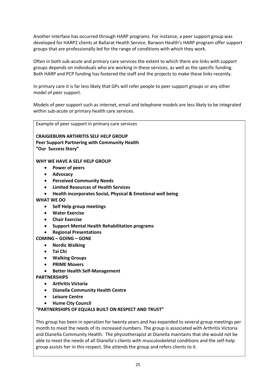Another interface has occurred through HARP programs. For instance, a peer support group was developed for HARP2 clients at Ballarat Health Service. Barwon Health's HARP program offer support groups that are professionally led for the range of conditions with which they work.

Often in both sub‐acute and primary care services the extent to which there are links with support groups depends on individuals who are working in these services, as well as the specific funding. Both HARP and PCP funding has fostered the staff and the projects to make these links recently.

In primary care it is far less likely that GPs will refer people to peer support groups or any other model of peer support.

Models of peer support such as internet, email and telephone models are less likely to be integrated within sub-acute or primary health care services.

Example of peer support in primary care services

**CRAIGIEBURN ARTHRITIS SELF HELP GROUP Peer Support Partnering with Community Health "Our Success Story"** 

**WHY WE HAVE A SELF HELP GROUP**

- · **Power of peers**
- · **Advocacy**
- · **Perceived Community Needs**
- · **Limited Resources of Health Services**
- · **Health incorporates Social, Physical & Emotional well being**
- **WHAT WE DO** 
	- · **Self Help group meetings**
	- · **Water Exercise**
	- · **Chair Exercise**
	- · **Support Mental Health Rehabilitation programs**
	- · **Regional Presentations**

# **COMING – GOING – GONE**

- · **Nordic Walking**
- · **Tai Chi**
- · **Walking Groups**
- · **PRIME Movers**
- · **Better Health Self‐Management**

**PARTNERSHIPS** 

- · **Arthritis Victoria**
- · **Dianella Community Health Centre**
- · **Leisure Centre**
- · **Hume City Council**

# **"PARTNERSHIPS OF EQUALS BUILT ON RESPECT AND TRUST"**

This group has been in operation for twenty years and has expanded to several group meetings per month to meet the needs of its increased numbers. The group is associated with Arthritis Victoria and Dianella Community Health. The physiotherapist at Dianella maintains that she would not be able to meet the needs of all Dianella's clients with musculoskeletal conditions and the self‐help group assists her in this respect. She attends the group and refers clients to it.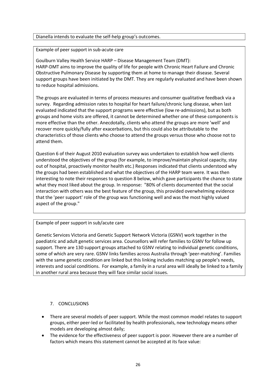# Dianella intends to evaluate the self‐help group's outcomes.

Example of peer support in sub‐acute care

Goulburn Valley Health Service HARP – Disease Management Team (DMT): HARP‐DMT aims to improve the quality of life for people with Chronic Heart Failure and Chronic Obstructive Pulmonary Disease by supporting them at home to manage their disease. Several support groups have been initiated by the DMT. They are regularly evaluated and have been shown to reduce hospital admissions.

The groups are evaluated in terms of process measures and consumer qualitative feedback via a survey. Regarding admission rates to hospital for heart failure/chronic lung disease, when last evaluated indicated that the support programs were effective (low re‐admissions), but as both groups and home visits are offered, it cannot be determined whether one of these components is more effective than the other. Anecdotally, clients who attend the groups are more 'well' and recover more quickly/fully after exacerbations, but this could also be attributable to the characteristics of those clients who choose to attend the groups versus those who choose not to attend them.

Question 6 of their August 2010 evaluation survey was undertaken to establish how well clients understood the objectives of the group (for example, to improve/maintain physical capacity, stay out of hospital, proactively monitor health etc.) Responses indicated that clients understood why the groups had been established and what the objectives of the HARP team were. It was then interesting to note their responses to question 8 below, which gave participants the chance to state what they most liked about the group. In response: "80% of clients documented that the social interaction with others was the best feature of the group, this provided overwhelming evidence that the 'peer support' role of the group was functioning well and was the most highly valued aspect of the group."

# Example of peer support in sub/acute care

Genetic Services Victoria and Genetic Support Network Victoria (GSNV) work together in the paediatric and adult genetic services area. Counsellors will refer families to GSNV for follow up support. There are 130 support groups attached to GSNV relating to individual genetic conditions, some of which are very rare. GSNV links families across Australia through 'peer-matching'. Families with the same genetic condition are linked but this linking includes matching up people's needs, interests and social conditions. For example, a family in a rural area will ideally be linked to a family in another rural area because they will face similar social issues.

# 7. CONCLUSIONS

- · There are several models of peer support. While the most common model relates to support groups, either peer‐led or facilitated by health professionals, new technology means other models are developing almost daily;
- · The evidence for the effectiveness of peer support is poor. However there are a number of factors which means this statement cannot be accepted at its face value: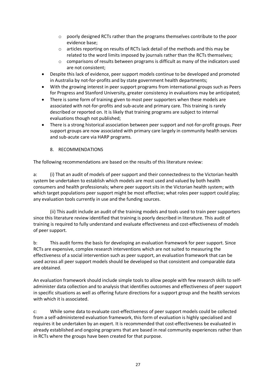- o poorly designed RCTs rather than the programs themselves contribute to the poor evidence base;
- o articles reporting on results of RCTs lack detail of the methods and this may be related to the word limits imposed by journals rather than the RCTs themselves;
- o comparisons of results between programs is difficult as many of the indicators used are not consistent;
- · Despite this lack of evidence, peer support models continue to be developed and promoted in Australia by not-for-profits and by state government health departments;
- With the growing interest in peer support programs from international groups such as Peers for Progress and Stanford University, greater consistency in evaluations may be anticipated;
- · There is some form of training given to most peer supporters when these models are associated with not-for-profits and sub-acute and primary care. This training is rarely described or reported on. It is likely that training programs are subject to internal evaluations though not published;
- There is a strong historical association between peer support and not-for-profit groups. Peer support groups are now associated with primary care largely in community health services and sub‐acute care via HARP programs.

# 8. RECOMMENDATIONS

The following recommendations are based on the results of this literature review:

a: (i) That an audit of models of peer support and their connectedness to the Victorian health system be undertaken to establish which models are most used and valued by both health consumers and health professionals; where peer support sits in the Victorian health system; with which target populations peer support might be most effective; what roles peer support could play; any evaluation tools currently in use and the funding sources.

(ii) This audit include an audit of the training models and tools used to train peer supporters since this literature review identified that training is poorly described in literature. This audit of training is required to fully understand and evaluate effectiveness and cost‐effectiveness of models of peer support.

b: This audit forms the basis for developing an evaluation framework for peer support. Since RCTs are expensive, complex research interventions which are not suited to measuring the effectiveness of a social intervention such as peer support, an evaluation framework that can be used across all peer support models should be developed so that consistent and comparable data are obtained.

An evaluation framework should include simple tools to allow people with few research skills to self‐ administer data collection and to analysis that identifies outcomes and effectiveness of peer support in specific situations as well as offering future directions for a support group and the health services with which it is associated.

c: While some data to evaluate cost‐effectiveness of peer support models could be collected from a self‐administered evaluation framework, this form of evaluation is highly specialised and requires it be undertaken by an expert. It is recommended that cost-effectiveness be evaluated in already established and ongoing programs that are based in real community experiences rather than in RCTs where the groups have been created for that purpose.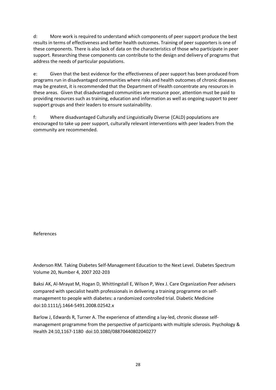d: More work is required to understand which components of peer support produce the best results in terms of effectiveness and better health outcomes. Training of peer supporters is one of these components. There is also lack of data on the characteristics of those who participate in peer support. Researching these components can contribute to the design and delivery of programs that address the needs of particular populations.

e: Given that the best evidence for the effectiveness of peer support has been produced from programs run in disadvantaged communities where risks and health outcomes of chronic diseases may be greatest, it is recommended that the Department of Health concentrate any resources in these areas. Given that disadvantaged communities are resource poor, attention must be paid to providing resources such as training, education and information as well as ongoing support to peer support groups and their leaders to ensure sustainability.

f: Where disadvantaged Culturally and Linguistically Diverse (CALD) populations are encouraged to take up peer support, culturally relevant interventions with peer leaders from the community are recommended.

References

Anderson RM. Taking Diabetes Self‐Management Education to the Next Level. Diabetes Spectrum Volume 20, Number 4, 2007 202‐203

Baksi AK, Al‐Mrayat M, Hogan D, Whittingstall E, Wilson P, Wex J. Care Organization Peer advisers compared with specialist health professionals in delivering a training programme on self‐ management to people with diabetes: a randomized controlled trial. Diabetic Medicine doi:10.1111/j.1464‐5491.2008.02542.x

Barlow J, Edwards R, Turner A. The experience of attending a lay-led, chronic disease selfmanagement programme from the perspective of participants with multiple sclerosis. Psychology & Health 24:10,1167‐1180 doi:10.1080/08870440802040277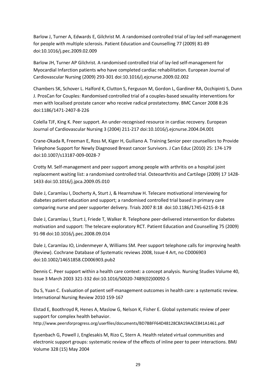Barlow J, Turner A, Edwards E, Gilchrist M. A randomised controlled trial of lay-led self-management for people with multiple sclerosis. Patient Education and Counselling 77 (2009) 81‐89 doi:10.1016/j.pec.2009.02.009

Barlow JH, Turner AP Gilchrist. A randomised controlled trial of lay‐led self‐management for Myocardial Infarction patients who have completed cardiac rehabilitation. European Journal of Cardiovascular Nursing (2009) 293‐301 doi:10.1016/j.ejcnurse.2009.02.002

Chambers SK, Schover L. Halford K, Clutton S, Ferguson M, Gordon L, Gardiner RA, Occhipinti S, Dunn J. ProsCan for Couples: Randomised controlled trial of a couples‐based sexuality interventions for men with localised prostate cancer who receive radical prostatectomy. BMC Cancer 2008 8:26 doi:1186/1471‐2407‐8‐226

Colella TJF, King K. Peer support. An under‐recognised resource in cardiac recovery. European Journal of Cardiovascular Nursing 3 (2004) 211‐217 doi:10.1016/j.ejcnurse.2004.04.001

Crane‐Okada R, Freeman E, Ross M, Kiger H, Guiliano A. Training Senior peer counsellors to Provide Telephone Support for Newly Diagnosed Breast cancer Survivors. J Can Educ (2010) 25: 174‐179 doi:10.1007/s13187‐009‐0028‐7

Crotty M. Self‐management and peer support among people with arthritis on a hospital joint replacement waiting list: a randomised controlled trial. Osteoarthritis and Cartilege (2009) 17 1428‐ 1433 doi:10.1016/j.jpca.2009.05.010

Dale J, Caramlau I, Docherty A, Sturt J, & Hearnshaw H. Telecare motivational interviewing for diabetes patient education and support; a randomised controlled trial based in primary care comparing nurse and peer supporter delivery. Trials 2007 8:18 doi:10.1186/1745‐6215‐8‐18

Dale J, Caramlau I, Sturt J, Friede T, Walker R. Telephone peer-delivered intervention for diabetes motivation and support: The telecare exploratory RCT. Patient Education and Counselling 75 (2009) 91‐98 doi:10.1016/j.pec.2008.09.014

Dale J, Caramlau IO, Lindenmeyer A, Williams SM. Peer support telephone calls for improving health (Review). Cochrane Database of Systematic reviews 2008, Issue 4 Art, no CD006903 doi:10.1002/14651858.CD006903.pub2

Dennis C. Peer support within a health care context: a concept analysis. Nursing Studies Volume 40, Issue 3 March 2003 321‐332 doi:10.1016/S0020‐7489(02)00092‐5

Du S, Yuan C. Evaluation of patient self-management outcomes in health care: a systematic review. International Nursing Review 2010 159‐167

Elstad E, Boothroyd R, Henes A, Maslow G, Nelson K, Fisher E. Global systematic review of peer support for complex health behavior. http://www.peersforprogress.org/userfiles/documents/BD7BBFF64D48128C8A19AACE841A1461.pdf

Eysenbach G, Powell J, Englesakis M, Rizo C, Stern A. Health related virtual communities and electronic support groups: systematic review of the effects of inline peer to peer interactions. BMJ Volume 328 (15) May 2004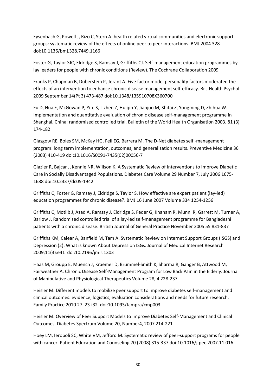Eysenbach G, Powell J, Rizo C, Stern A. health related virtual communities and electronic support groups: systematic review of the effects of online peer to peer interactions. BMJ 2004 328 doi:10.1136/bmj.328.7449.1166

Foster G, Taylor SJC, Eldridge S, Ramsay J, Griffiths CJ. Self-management education programmes by lay leaders for people with chronic conditions (Review). The Cochrane Collaboration 2009

Franks P, Chapman B, Duberstein P, Jerant A. Five factor model personality factors moderated the effects of an intervention to enhance chronic disease management self‐efficacy. Br J Health Psychol. 2009 September 14(Pt 3) 473‐487 doi:10.1348/135910708X360700

Fu D, Hua F, McGowan P, Yi‐e S, Lizhen Z, Huiqin Y, Jianjuo M, Shitai Z, Yongming D, Zhihua W. Implementation and quantitative evaluation of chronic disease self‐management programme in Shanghai, China: randomised controlled trial. Bulletin of the World Health Organisation 2003, 81 (3) 174‐182

Glasgow RE, Boles SM, McKay HG, Feil EG, Barrera M. The D‐Net diabetes self ‐management program: long term implementation, outcomes, and generalization results. Preventive Medicine 36 (2003) 410‐419 doi:10.1016/S0091‐7435(02)00056‐7

Glazier R, Bajcar J, Kennie NR, Willson K. A Systematic Review of Interventions to Improve Diabetic Care in Socially Disadvantaged Populations. Diabetes Care Volume 29 Number 7, July 2006 1675‐ 1688 doi:10.2337/dc05‐1942

Griffiths C, Foster G, Ramsay J, Eldridge S, Taylor S. How effective are expert patient (lay‐led) education programmes for chronic disease?. BMJ 16 June 2007 Volume 334 1254‐1256

Griffiths C, Motlib J, Azad A, Ramsay J, Eldridge S, Feder G, Khanam R, Munni R, Garrett M, Turner A, Barlow J. Randomised controlled trial of a lay-led self-management programme for Bangladeshi patients with a chronic disease. British Journal of General Practice November 2005 55 831‐837

Griffiths KM, Calear A, Banfield M, Tam A. Systematic Review on Internet Support Groups (ISGS) and Depression (2): What is known About Depression ISGs. Journal of Medical Internet Research 2009;11(3):e41 doi:10.2196/jmir.1303

Haas M, Groupp E, Muench J, Kraemer D, Brummel‐Smith K, Sharma R, Ganger B, Attwood M, Fairweather A. Chronic Disease Self‐Management Program for Low Back Pain in the Elderly. Journal of Manipulative and Physiological Therapeutics Volume 28, 4 228‐237

Heisler M. Different models to mobilize peer support to improve diabetes self-management and clinical outcomes: evidence, logistics, evaluation considerations and needs for future research. Family Practice 2010 27 i23‐i32 doi:10.1093/fampra/cmp003

Heisler M. Overview of Peer Support Models to Improve Diabetes Self‐Management and Clinical Outcomes. Diabetes Spectrum Volume 20, Number4, 2007 214‐221

Hoey LM, Ieropoli SC, White VM, Jefford M. Systematic review of peer-support programs for people with cancer. Patient Education and Counseling 70 (2008) 315‐337 doi:10.1016/j.pec.2007.11.016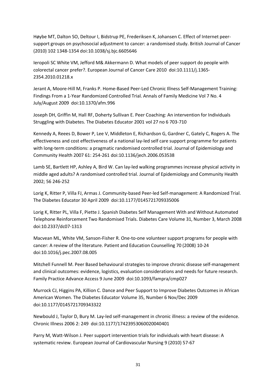Høybe MT, Dalton SO, Deltour I, Bidstrup PE, Frederiksen K, Johansen C. Effect of Internet peer‐ support groups on psychosocial adjustment to cancer: a randomised study. British Journal of Cancer (2010) 102 1348‐1354 doi:10.1038/sj.bjc.6605646

Ieropoli SC White VM, Jefford M& Akkermann D. What models of peer support do people with colorectal cancer prefer?. European Journal of Cancer Care 2010 doi:10.1111/j.1365‐ 2354.2010.01218.x

Jerant A, Moore‐Hill M, Franks P. Home‐Based Peer‐Led Chronic Illness Self‐Management Training: Findings From a 1‐Year Randomized Controlled Trial. Annals of Family Medicine Vol 7 No. 4 July/August 2009 doi:10.1370/afm.996

Joseph DH, Griffin M, Hall RF, Doherty Sullivan E. Peer Coaching: An intervention for Individuals Struggling with Diabetes. The Diabetes Educator 2001 vol 27 no 6 703‐710

Kennedy A, Reees D, Bower P, Lee V, Middleton E, Richardson G, Gardner C, Gately C, Rogers A. The effectiveness and cost effectiveness of a national lay-led self care support programme for patients with long-term conditions: a pragmatic randomised controlled trial. Journal of Epidemiology and Community Health 2007 61: 254‐261 doi:10.1136/jech.2006.053538

Lamb SE, Bartlett HP, Ashley A, Bird W. Can lay-led walking programmes increase physical activity in middle aged adults? A randomised controlled trial. Journal of Epidemiology and Community Health 2002; 56 246‐252

Lorig K, Ritter P, Villa FJ, Armas J. Community-based Peer-led Self-management: A Randomized Trial. The Diabetes Educator 30 April 2009 doi:10.1177/0145721709335006

Lorig K, Ritter PL, Villa F, Piette J. Spanish Diabetes Self Management With and Without Automated Telephone Reinforcement Two Randomised Trials. Diabetes Care Volume 31, Number 3, March 2008 doi:10.2337/dc07‐1313

Macvean ML, White VM, Sanson‐Fisher R. One‐to‐one volunteer support programs for people with cancer: A review of the literature. Patient and Education Counselling 70 (2008) 10‐24 doi:10.1016/j.pec.2007.08.005

Mitchell Funnell M. Peer Based behavioural strategies to improve chronic disease self‐management and clinical outcomes: evidence, logistics, evaluation considerations and needs for future research. Family Practice Advance Access 9 June 2009 doi:10.1093/fampra/cmp027

Murrock CJ, Higgins PA, Killion C. Dance and Peer Support to Improve Diabetes Outcomes in African American Women. The Diabetes Educator Volume 35, Number 6 Nov/Dec 2009 doi:10.1177/0145721709343322

Newbould J, Taylor D, Bury M. Lay‐led self‐management in chronic illness: a review of the evidence. Chronic Illness 2006 2: 249 doi:10.1177/17423953060020040401

Parry M, Watt‐Wilson J. Peer support intervention trials for individuals with heart disease: A systematic review. European Journal of Cardiovascular Nursing 9 (2010) 57‐67